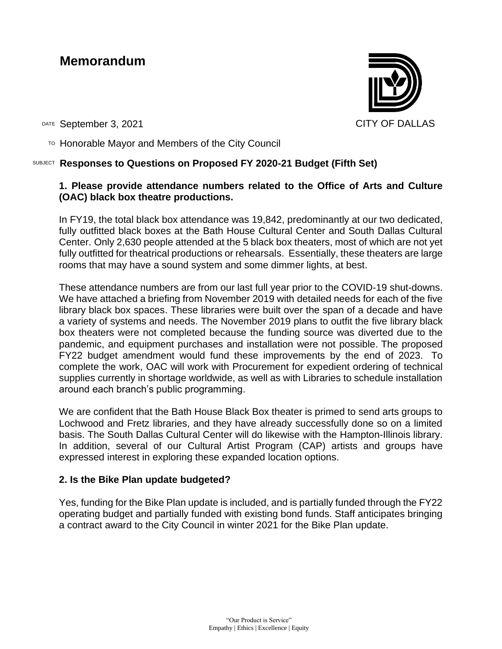### **Memorandum**



DATE September 3, 2021 CITY OF DALLAS

 $\overline{P}$  Honorable Mayor and Members of the City Council

#### SUBJECT **Responses to Questions on Proposed FY 2020-21 Budget (Fifth Set)**

### **1. Please provide attendance numbers related to the Office of Arts and Culture (OAC) black box theatre productions.**

In FY19, the total black box attendance was 19,842, predominantly at our two dedicated, fully outfitted black boxes at the Bath House Cultural Center and South Dallas Cultural Center. Only 2,630 people attended at the 5 black box theaters, most of which are not yet fully outfitted for theatrical productions or rehearsals. Essentially, these theaters are large rooms that may have a sound system and some dimmer lights, at best.

These attendance numbers are from our last full year prior to the COVID-19 shut-downs. We have attached a briefing from November 2019 with detailed needs for each of the five library black box spaces. These libraries were built over the span of a decade and have a variety of systems and needs. The November 2019 plans to outfit the five library black box theaters were not completed because the funding source was diverted due to the pandemic, and equipment purchases and installation were not possible. The proposed FY22 budget amendment would fund these improvements by the end of 2023. To complete the work, OAC will work with Procurement for expedient ordering of technical supplies currently in shortage worldwide, as well as with Libraries to schedule installation around each branch's public programming.

We are confident that the Bath House Black Box theater is primed to send arts groups to Lochwood and Fretz libraries, and they have already successfully done so on a limited basis. The South Dallas Cultural Center will do likewise with the Hampton-Illinois library. In addition, several of our Cultural Artist Program (CAP) artists and groups have expressed interest in exploring these expanded location options.

#### **2. Is the Bike Plan update budgeted?**

Yes, funding for the Bike Plan update is included, and is partially funded through the FY22 operating budget and partially funded with existing bond funds. Staff anticipates bringing a contract award to the City Council in winter 2021 for the Bike Plan update.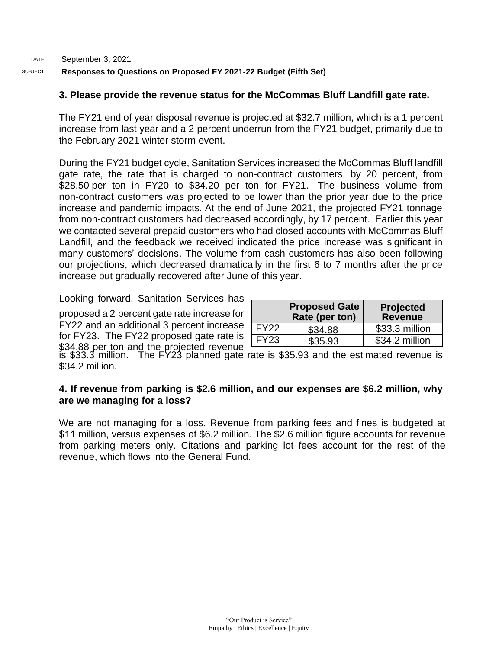#### DATE SUBJECT September 3, 2021 **Responses to Questions on Proposed FY 2021-22 Budget (Fifth Set)**

#### **3. Please provide the revenue status for the McCommas Bluff Landfill gate rate.**

The FY21 end of year disposal revenue is projected at \$32.7 million, which is a 1 percent increase from last year and a 2 percent underrun from the FY21 budget, primarily due to the February 2021 winter storm event.

During the FY21 budget cycle, Sanitation Services increased the McCommas Bluff landfill gate rate, the rate that is charged to non-contract customers, by 20 percent, from \$28.50 per ton in FY20 to \$34.20 per ton for FY21. The business volume from non-contract customers was projected to be lower than the prior year due to the price increase and pandemic impacts. At the end of June 2021, the projected FY21 tonnage from non-contract customers had decreased accordingly, by 17 percent. Earlier this year we contacted several prepaid customers who had closed accounts with McCommas Bluff Landfill, and the feedback we received indicated the price increase was significant in many customers' decisions. The volume from cash customers has also been following our projections, which decreased dramatically in the first 6 to 7 months after the price increase but gradually recovered after June of this year.

Looking forward, Sanitation Services has

proposed a 2 percent gate rate increase for FY22 and an additional 3 percent increase for FY23. The FY22 proposed gate rate is for FY23. The FY22 proposed gate rate is  $\frac{FY23}{35.93}$  \$35.93  $\frac{1}{35.93}$  \$34.2 million

|             | <b>Proposed Gate</b><br>Rate (per ton) | Projected<br>Revenue |
|-------------|----------------------------------------|----------------------|
| <b>FY22</b> | \$34.88                                | \$33.3 million       |
| <b>FY23</b> | \$35.93                                | \$34.2 million       |

is \$33.3 million. The FY23 planned gate rate is \$35.93 and the estimated revenue is \$34.2 million.

#### **4. If revenue from parking is \$2.6 million, and our expenses are \$6.2 million, why are we managing for a loss?**

We are not managing for a loss. Revenue from parking fees and fines is budgeted at \$11 million, versus expenses of \$6.2 million. The \$2.6 million figure accounts for revenue from parking meters only. Citations and parking lot fees account for the rest of the revenue, which flows into the General Fund.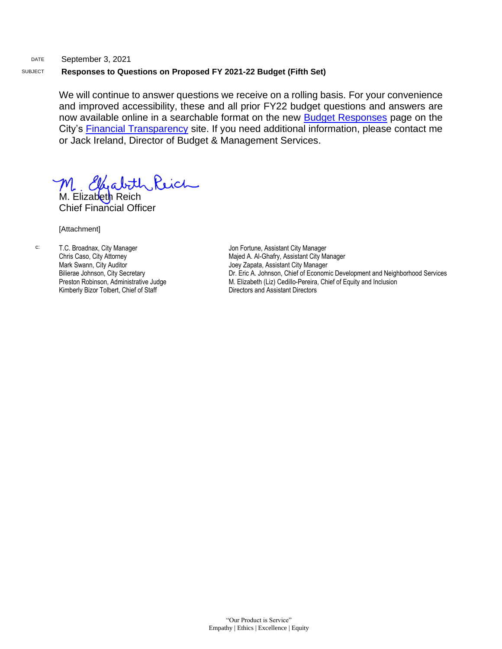#### DATE September 3, 2021 SUBJECT **Responses to Questions on Proposed FY 2021-22 Budget (Fifth Set)**

We will continue to answer questions we receive on a rolling basis. For your convenience and improved accessibility, these and all prior FY22 budget questions and answers are now available online in a searchable format on the new [Budget Responses](https://dallascityhall.com/departments/budget/financialtransparency/Pages/Budget-Responses.aspx) page on the City's [Financial Transparency](https://dallascityhall.com/departments/budget/financialtransparency/Pages/default.aspx) site. If you need additional information, please contact me or Jack Ireland, Director of Budget & Management Services.

M. Elyabith Reich

Chief Financial Officer

[Attachment]

c: T.C. Broadnax, City Manager Chris Caso, City Attorney Mark Swann, City Auditor Bilierae Johnson, City Secretary Preston Robinson, Administrative Judge Kimberly Bizor Tolbert, Chief of Staff

Jon Fortune, Assistant City Manager Majed A. Al-Ghafry, Assistant City Manager Joey Zapata, Assistant City Manager Dr. Eric A. Johnson, Chief of Economic Development and Neighborhood Services M. Elizabeth (Liz) Cedillo-Pereira, Chief of Equity and Inclusion Directors and Assistant Directors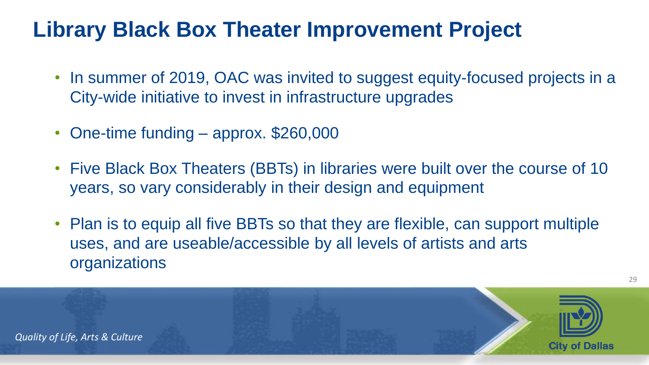- In summer of 2019, OAC was invited to suggest equity-focused projects in a City-wide initiative to invest in infrastructure upgrades
- One-time funding approx. \$260,000
- Five Black Box Theaters (BBTs) in libraries were built over the course of 10 years, so vary considerably in their design and equipment
- Plan is to equip all five BBTs so that they are flexible, can support multiple uses, and are useable/accessible by all levels of artists and arts organizations



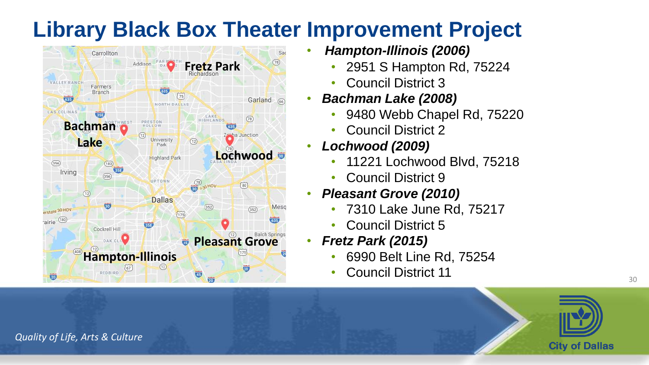

- *Hampton-Illinois (2006)*
	- 2951 S Hampton Rd, 75224
	- Council District 3
- *Bachman Lake (2008)*
	- 9480 Webb Chapel Rd, 75220
	- Council District 2
- *Lochwood (2009)*
	- 11221 Lochwood Blvd, 75218
	- Council District 9
- *Pleasant Grove (2010)*
	- 7310 Lake June Rd, 75217
	- Council District 5
- *Fretz Park (2015)*
	- 6990 Belt Line Rd, 75254
	- Council District 11



30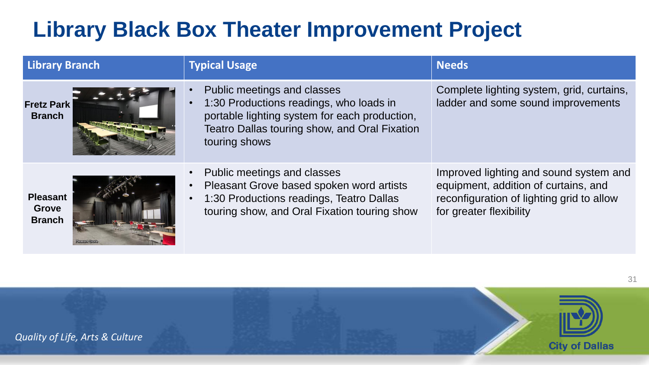| <b>Library Branch</b>                            | <b>Typical Usage</b>                                                                                                                                                                      | <b>Needs</b>                                                                                                                                           |
|--------------------------------------------------|-------------------------------------------------------------------------------------------------------------------------------------------------------------------------------------------|--------------------------------------------------------------------------------------------------------------------------------------------------------|
| <b>Fretz Park</b><br><b>Branch</b>               | Public meetings and classes<br>1:30 Productions readings, who loads in<br>portable lighting system for each production,<br>Teatro Dallas touring show, and Oral Fixation<br>touring shows | Complete lighting system, grid, curtains,<br>ladder and some sound improvements                                                                        |
| <b>Pleasant</b><br><b>Grove</b><br><b>Branch</b> | Public meetings and classes<br>Pleasant Grove based spoken word artists<br>1:30 Productions readings, Teatro Dallas<br>touring show, and Oral Fixation touring show                       | Improved lighting and sound system and<br>equipment, addition of curtains, and<br>reconfiguration of lighting grid to allow<br>for greater flexibility |

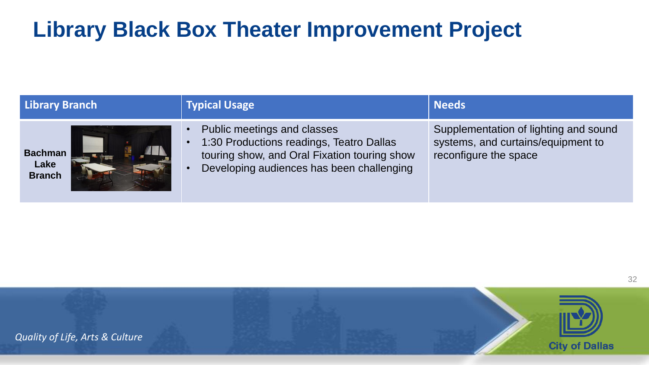| <b>Library Branch</b>                   | <b>Typical Usage</b>                                                                                                                                                                           | <b>Needs</b>                                                                                         |
|-----------------------------------------|------------------------------------------------------------------------------------------------------------------------------------------------------------------------------------------------|------------------------------------------------------------------------------------------------------|
| <b>Bachman</b><br>Lake<br><b>Branch</b> | Public meetings and classes<br>$\bullet$<br>1:30 Productions readings, Teatro Dallas<br>$\bullet$<br>touring show, and Oral Fixation touring show<br>Developing audiences has been challenging | Supplementation of lighting and sound<br>systems, and curtains/equipment to<br>reconfigure the space |

32

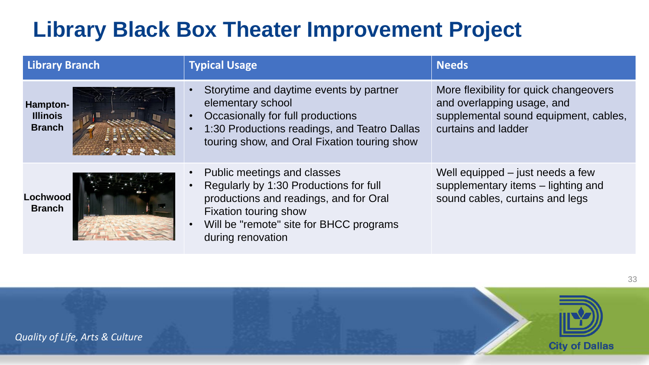| <b>Library Branch</b>                        | <b>Typical Usage</b>                                                                                                                                                                                     | <b>Needs</b>                                                                                                                         |
|----------------------------------------------|----------------------------------------------------------------------------------------------------------------------------------------------------------------------------------------------------------|--------------------------------------------------------------------------------------------------------------------------------------|
| Hampton-<br><b>Illinois</b><br><b>Branch</b> | Storytime and daytime events by partner<br>elementary school<br>Occasionally for full productions<br>1:30 Productions readings, and Teatro Dallas<br>touring show, and Oral Fixation touring show        | More flexibility for quick changeovers<br>and overlapping usage, and<br>supplemental sound equipment, cables,<br>curtains and ladder |
| <b>Lochwood</b><br><b>Branch</b>             | Public meetings and classes<br>Regularly by 1:30 Productions for full<br>productions and readings, and for Oral<br>Fixation touring show<br>Will be "remote" site for BHCC programs<br>during renovation | Well equipped – just needs a few<br>supplementary items - lighting and<br>sound cables, curtains and legs                            |